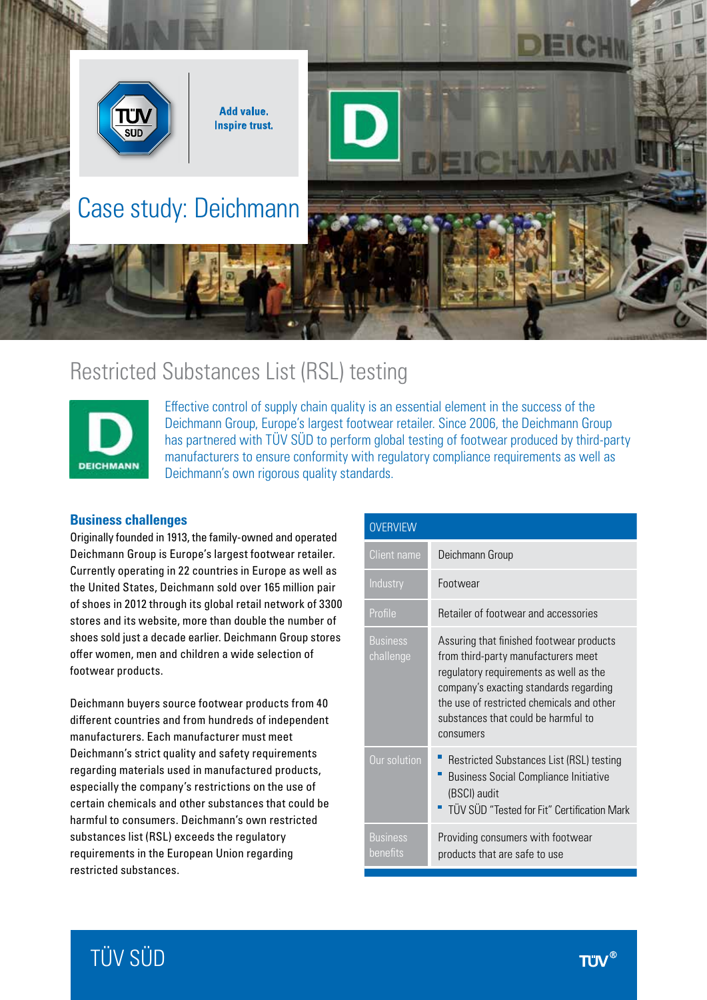

# Restricted Substances List (RSL) testing



Effective control of supply chain quality is an essential element in the success of the Deichmann Group, Europe's largest footwear retailer. Since 2006, the Deichmann Group has partnered with TÜV SÜD to perform global testing of footwear produced by third-party manufacturers to ensure conformity with regulatory compliance requirements as well as Deichmann's own rigorous quality standards.

## **Business challenges**

Originally founded in 1913, the family-owned and operated Deichmann Group is Europe's largest footwear retailer. Currently operating in 22 countries in Europe as well as the United States, Deichmann sold over 165 million pair of shoes in 2012 through its global retail network of 3300 stores and its website, more than double the number of shoes sold just a decade earlier. Deichmann Group stores offer women, men and children a wide selection of footwear products.

Deichmann buyers source footwear products from 40 different countries and from hundreds of independent manufacturers. Each manufacturer must meet Deichmann's strict quality and safety requirements regarding materials used in manufactured products, especially the company's restrictions on the use of certain chemicals and other substances that could be harmful to consumers. Deichmann's own restricted substances list (RSL) exceeds the regulatory requirements in the European Union regarding restricted substances.

| <b>OVERVIEW</b>              |                                                                                                                                                                                                                                                                      |
|------------------------------|----------------------------------------------------------------------------------------------------------------------------------------------------------------------------------------------------------------------------------------------------------------------|
| Client name                  | Deichmann Group                                                                                                                                                                                                                                                      |
| Industry                     | Footwear                                                                                                                                                                                                                                                             |
| Profile                      | Retailer of footwear and accessories                                                                                                                                                                                                                                 |
| <b>Business</b><br>challenge | Assuring that finished footwear products<br>from third-party manufacturers meet<br>regulatory requirements as well as the<br>company's exacting standards regarding<br>the use of restricted chemicals and other<br>substances that could be harmful to<br>consumers |
| Our solution                 | Restricted Substances List (RSL) testing<br><b>Business Social Compliance Initiative</b><br>(BSCI) audit<br>" TÜV SÜD "Tested for Fit" Certification Mark                                                                                                            |
| <b>Business</b><br>benefits  | Providing consumers with footwear<br>products that are safe to use                                                                                                                                                                                                   |

# TÜV SÜD